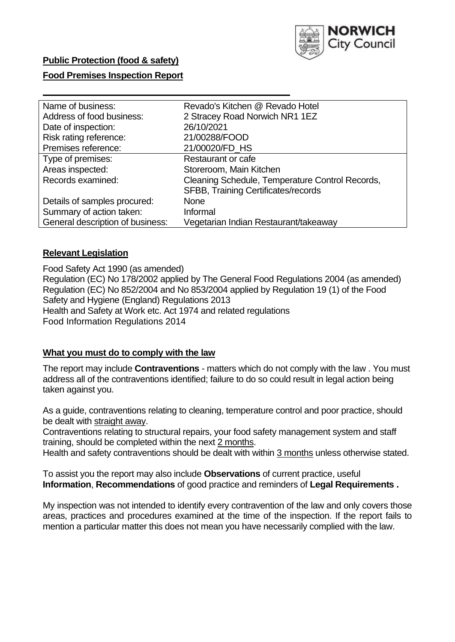

## **Public Protection (food & safety)**

## **Food Premises Inspection Report**

| Name of business:                | Revado's Kitchen @ Revado Hotel                 |
|----------------------------------|-------------------------------------------------|
| Address of food business:        | 2 Stracey Road Norwich NR1 1EZ                  |
|                                  |                                                 |
| Date of inspection:              | 26/10/2021                                      |
| Risk rating reference:           | 21/00288/FOOD                                   |
| Premises reference:              | 21/00020/FD_HS                                  |
| Type of premises:                | Restaurant or cafe                              |
| Areas inspected:                 | Storeroom, Main Kitchen                         |
| Records examined:                | Cleaning Schedule, Temperature Control Records, |
|                                  | <b>SFBB, Training Certificates/records</b>      |
| Details of samples procured:     | <b>None</b>                                     |
| Summary of action taken:         | Informal                                        |
| General description of business: | Vegetarian Indian Restaurant/takeaway           |

## **Relevant Legislation**

 Food Safety Act 1990 (as amended) Regulation (EC) No 178/2002 applied by The General Food Regulations 2004 (as amended) Regulation (EC) No 852/2004 and No 853/2004 applied by Regulation 19 (1) of the Food Safety and Hygiene (England) Regulations 2013 Health and Safety at Work etc. Act 1974 and related regulations Food Information Regulations 2014

## **What you must do to comply with the law**

 The report may include **Contraventions** - matters which do not comply with the law . You must address all of the contraventions identified; failure to do so could result in legal action being taken against you.

 As a guide, contraventions relating to cleaning, temperature control and poor practice, should be dealt with straight away.

 Contraventions relating to structural repairs, your food safety management system and staff training, should be completed within the next 2 months.

Health and safety contraventions should be dealt with within 3 months unless otherwise stated.

 To assist you the report may also include **Observations** of current practice, useful **Information**, **Recommendations** of good practice and reminders of **Legal Requirements .** 

 My inspection was not intended to identify every contravention of the law and only covers those areas, practices and procedures examined at the time of the inspection. If the report fails to mention a particular matter this does not mean you have necessarily complied with the law.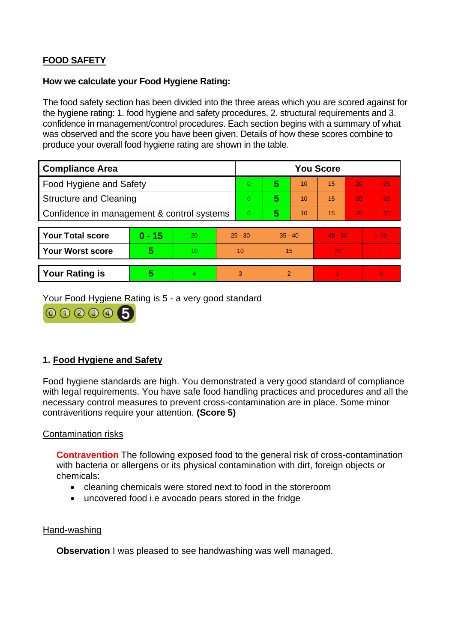# **FOOD SAFETY**

#### **How we calculate your Food Hygiene Rating:**

 The food safety section has been divided into the three areas which you are scored against for the hygiene rating: 1. food hygiene and safety procedures, 2. structural requirements and 3. confidence in management/control procedures. Each section begins with a summary of what was observed and the score you have been given. Details of how these scores combine to produce your overall food hygiene rating are shown in the table.

| <b>Compliance Area</b>                     |          |    |                | <b>You Score</b> |                |    |           |    |                |  |  |
|--------------------------------------------|----------|----|----------------|------------------|----------------|----|-----------|----|----------------|--|--|
| Food Hygiene and Safety                    |          |    |                | $\overline{0}$   | 5              | 10 | 15        | 20 | 25             |  |  |
| <b>Structure and Cleaning</b>              |          |    | $\overline{0}$ | 5                | 10             | 15 | 20        | 25 |                |  |  |
| Confidence in management & control systems |          |    | $\overline{0}$ | 5                | 10             | 15 | 20        | 30 |                |  |  |
|                                            |          |    |                |                  |                |    |           |    |                |  |  |
| <b>Your Total score</b>                    | $0 - 15$ | 20 | $25 - 30$      |                  | $35 - 40$      |    | $45 - 50$ |    | > 50           |  |  |
| <b>Your Worst score</b>                    | 5        | 10 | 10             |                  | 15             |    | 20        |    | $\blacksquare$ |  |  |
|                                            |          |    |                |                  |                |    |           |    |                |  |  |
| <b>Your Rating is</b>                      | 5        | 4  | 3              |                  | $\overline{2}$ |    |           |    | $\Omega$       |  |  |

Your Food Hygiene Rating is 5 - a very good standard



# **1. Food Hygiene and Safety**

 with legal requirements. You have safe food handling practices and procedures and all the Food hygiene standards are high. You demonstrated a very good standard of compliance necessary control measures to prevent cross-contamination are in place. Some minor contraventions require your attention. **(Score 5)** 

## Contamination risks

 **Contravention** The following exposed food to the general risk of cross-contamination with bacteria or allergens or its physical contamination with dirt, foreign objects or chemicals:

- cleaning chemicals were stored next to food in the storeroom
- uncovered food i.e avocado pears stored in the fridge

## Hand-washing

**Observation** I was pleased to see handwashing was well managed.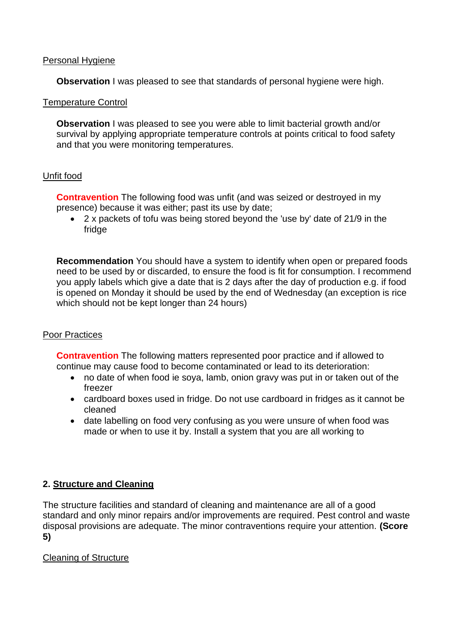#### Personal Hygiene

**Observation** I was pleased to see that standards of personal hygiene were high.

#### Temperature Control

**Observation** I was pleased to see you were able to limit bacterial growth and/or survival by applying appropriate temperature controls at points critical to food safety and that you were monitoring temperatures.

## Unfit food

**Contravention** The following food was unfit (and was seized or destroyed in my presence) because it was either; past its use by date;

• 2 x packets of tofu was being stored beyond the 'use by' date of 21/9 in the fridge

**Recommendation** You should have a system to identify when open or prepared foods need to be used by or discarded, to ensure the food is fit for consumption. I recommend you apply labels which give a date that is 2 days after the day of production e.g. if food is opened on Monday it should be used by the end of Wednesday (an exception is rice which should not be kept longer than 24 hours)

#### Poor Practices

 **Contravention** The following matters represented poor practice and if allowed to continue may cause food to become contaminated or lead to its deterioration:

- no date of when food ie soya, lamb, onion gravy was put in or taken out of the freezer
- cardboard boxes used in fridge. Do not use cardboard in fridges as it cannot be cleaned
- • date labelling on food very confusing as you were unsure of when food was made or when to use it by. Install a system that you are all working to

# **2. Structure and Cleaning**

 The structure facilities and standard of cleaning and maintenance are all of a good standard and only minor repairs and/or improvements are required. Pest control and waste disposal provisions are adequate. The minor contraventions require your attention. **(Score 5)** 

## Cleaning of Structure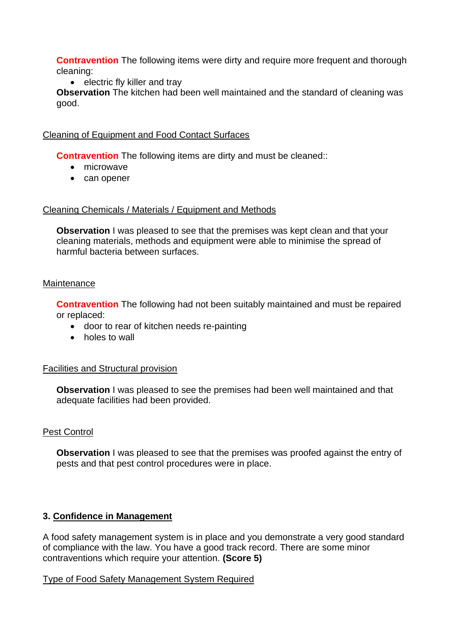**Contravention** The following items were dirty and require more frequent and thorough cleaning:

• electric fly killer and tray

 **Observation** The kitchen had been well maintained and the standard of cleaning was good.

## Cleaning of Equipment and Food Contact Surfaces

**Contravention** The following items are dirty and must be cleaned::

- microwave
- can opener

#### Cleaning Chemicals / Materials / Equipment and Methods

**Observation** I was pleased to see that the premises was kept clean and that your cleaning materials, methods and equipment were able to minimise the spread of harmful bacteria between surfaces.

#### **Maintenance**

**Contravention** The following had not been suitably maintained and must be repaired or replaced:

- door to rear of kitchen needs re-painting
- holes to wall

## Facilities and Structural provision

 **Observation** I was pleased to see the premises had been well maintained and that adequate facilities had been provided.

## Pest Control

**Observation** I was pleased to see that the premises was proofed against the entry of pests and that pest control procedures were in place.

## **3. Confidence in Management**

A food safety management system is in place and you demonstrate a very good standard of compliance with the law. You have a good track record. There are some minor contraventions which require your attention. **(Score 5)** 

## Type of Food Safety Management System Required